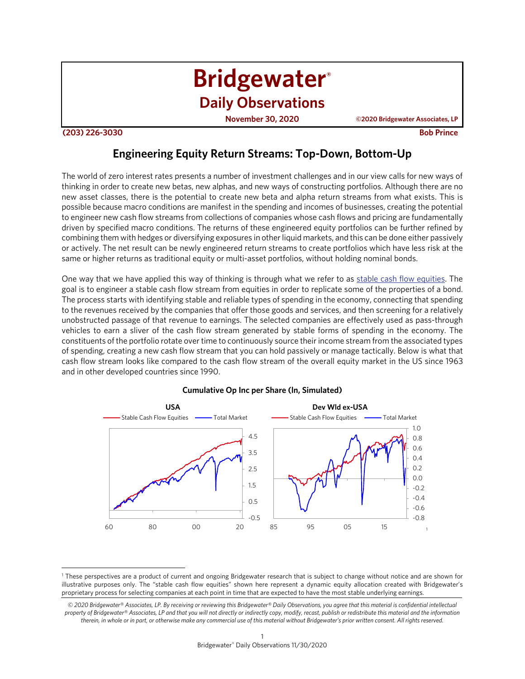# **Bridgewater®**

## **Daily Observations**

**(203) 226-3030 Bob Prince** 

**November 30, 2020 ©2020 Bridgewater Associates, LP** 

### **Engineering Equity Return Streams: Top-Down, Bottom-Up**

The world of zero interest rates presents a number of investment challenges and in our view calls for new ways of thinking in order to create new betas, new alphas, and new ways of constructing portfolios. Although there are no new asset classes, there is the potential to create new beta and alpha return streams from what exists. This is possible because macro conditions are manifest in the spending and incomes of businesses, creating the potential to engineer new cash flow streams from collections of companies whose cash flows and pricing are fundamentally driven by specified macro conditions. The returns of these engineered equity portfolios can be further refined by combining them with hedges or diversifying exposures in other liquid markets, and this can be done either passively or actively. The net result can be newly engineered return streams to create portfolios which have less risk at the same or higher returns as traditional equity or multi-asset portfolios, without holding nominal bonds.

One way that we have applied this way of thinking is through what we refer to as stable cash flow equities. The goal is to engineer a stable cash flow stream from equities in order to replicate some of the properties of a bond. The process starts with identifying stable and reliable types of spending in the economy, connecting that spending to the revenues received by the companies that offer those goods and services, and then screening for a relatively unobstructed passage of that revenue to earnings. The selected companies are effectively used as pass-through vehicles to earn a sliver of the cash flow stream generated by stable forms of spending in the economy. The constituents of the portfolio rotate over time to continuously source their income stream from the associated types of spending, creating a new cash flow stream that you can hold passively or manage tactically. Below is what that cash flow stream looks like compared to the cash flow stream of the overall equity market in the US since 1963 and in other developed countries since 1990.



#### **Cumulative Op Inc per Share (ln, Simulated)**

<sup>1</sup> These perspectives are a product of current and ongoing Bridgewater research that is subject to change without notice and are shown for illustrative purposes only. The "stable cash flow equities" shown here represent a dynamic equity allocation created with Bridgewater's proprietary process for selecting companies at each point in time that are expected to have the most stable underlying earnings.

*<sup>© 2020</sup> Bridgewater® Associates, LP. By receiving or reviewing this Bridgewater® Daily Observations, you agree that this material is confidential intellectual property of Bridgewater® Associates, LP and that you will not directly or indirectly copy, modify, recast, publish or redistribute this material and the information therein, in whole or in part, or otherwise make any commercial use of this material without Bridgewater's prior written consent. All rights reserved.*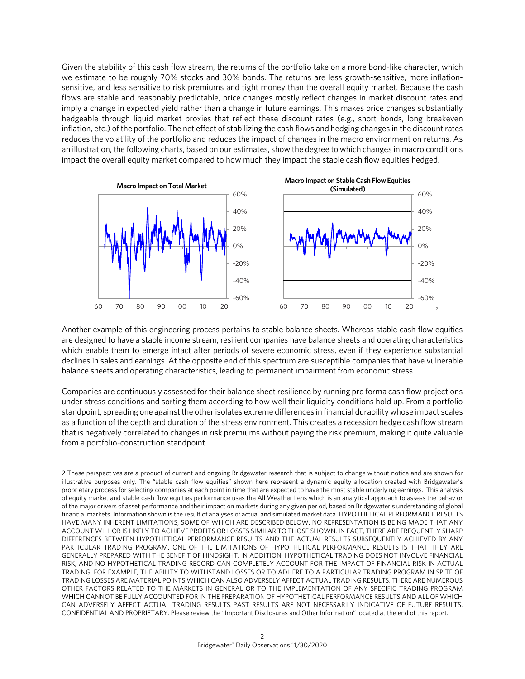Given the stability of this cash flow stream, the returns of the portfolio take on a more bond-like character, which we estimate to be roughly 70% stocks and 30% bonds. The returns are less growth-sensitive, more inflationsensitive, and less sensitive to risk premiums and tight money than the overall equity market. Because the cash flows are stable and reasonably predictable, price changes mostly reflect changes in market discount rates and imply a change in expected yield rather than a change in future earnings. This makes price changes substantially hedgeable through liquid market proxies that reflect these discount rates (e.g., short bonds, long breakeven inflation, etc.) of the portfolio. The net effect of stabilizing the cash flows and hedging changes in the discount rates reduces the volatility of the portfolio and reduces the impact of changes in the macro environment on returns. As an illustration, the following charts, based on our estimates, show the degree to which changes in macro conditions impact the overall equity market compared to how much they impact the stable cash flow equities hedged.



Another example of this engineering process pertains to stable balance sheets. Whereas stable cash flow equities are designed to have a stable income stream, resilient companies have balance sheets and operating characteristics which enable them to emerge intact after periods of severe economic stress, even if they experience substantial declines in sales and earnings. At the opposite end of this spectrum are susceptible companies that have vulnerable balance sheets and operating characteristics, leading to permanent impairment from economic stress.

Companies are continuously assessed for their balance sheet resilience by running pro forma cash flow projections under stress conditions and sorting them according to how well their liquidity conditions hold up. From a portfolio standpoint, spreading one against the other isolates extreme differences in financial durability whose impact scales as a function of the depth and duration of the stress environment. This creates a recession hedge cash flow stream that is negatively correlated to changes in risk premiums without paying the risk premium, making it quite valuable from a portfolio-construction standpoint.

<sup>2</sup> These perspectives are a product of current and ongoing Bridgewater research that is subject to change without notice and are shown for illustrative purposes only. The "stable cash flow equities" shown here represent a dynamic equity allocation created with Bridgewater's proprietary process for selecting companies at each point in time that are expected to have the most stable underlying earnings. This analysis of equity market and stable cash flow equities performance uses the All Weather Lens which is an analytical approach to assess the behavior of the major drivers of asset performance and their impact on markets during any given period, based on Bridgewater's understanding of global financial markets. Information shown is the result of analyses of actual and simulated market data. HYPOTHETICAL PERFORMANCE RESULTS HAVE MANY INHERENT LIMITATIONS, SOME OF WHICH ARE DESCRIBED BELOW. NO REPRESENTATION IS BEING MADE THAT ANY ACCOUNT WILL OR IS LIKELY TO ACHIEVE PROFITS OR LOSSES SIMILAR TO THOSE SHOWN. IN FACT, THERE ARE FREQUENTLY SHARP DIFFERENCES BETWEEN HYPOTHETICAL PERFORMANCE RESULTS AND THE ACTUAL RESULTS SUBSEQUENTLY ACHIEVED BY ANY PARTICULAR TRADING PROGRAM. ONE OF THE LIMITATIONS OF HYPOTHETICAL PERFORMANCE RESULTS IS THAT THEY ARE GENERALLY PREPARED WITH THE BENEFIT OF HINDSIGHT. IN ADDITION, HYPOTHETICAL TRADING DOES NOT INVOLVE FINANCIAL RISK, AND NO HYPOTHETICAL TRADING RECORD CAN COMPLETELY ACCOUNT FOR THE IMPACT OF FINANCIAL RISK IN ACTUAL TRADING. FOR EXAMPLE, THE ABILITY TO WITHSTAND LOSSES OR TO ADHERE TO A PARTICULAR TRADING PROGRAM IN SPITE OF TRADING LOSSES ARE MATERIAL POINTS WHICH CAN ALSO ADVERSELY AFFECT ACTUAL TRADING RESULTS. THERE ARE NUMEROUS OTHER FACTORS RELATED TO THE MARKETS IN GENERAL OR TO THE IMPLEMENTATION OF ANY SPECIFIC TRADING PROGRAM WHICH CANNOT BE FULLY ACCOUNTED FOR IN THE PREPARATION OF HYPOTHETICAL PERFORMANCE RESULTS AND ALL OF WHICH CAN ADVERSELY AFFECT ACTUAL TRADING RESULTS. PAST RESULTS ARE NOT NECESSARILY INDICATIVE OF FUTURE RESULTS. CONFIDENTIAL AND PROPRIETARY. Please review the "Important Disclosures and Other Information" located at the end of this report.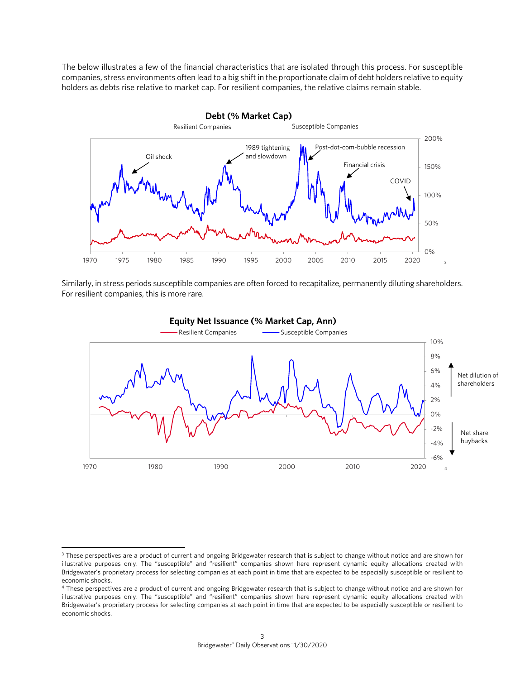The below illustrates a few of the financial characteristics that are isolated through this process. For susceptible companies, stress environments often lead to a big shift in the proportionate claim of debt holders relative to equity holders as debts rise relative to market cap. For resilient companies, the relative claims remain stable.



Similarly, in stress periods susceptible companies are often forced to recapitalize, permanently diluting shareholders. For resilient companies, this is more rare.



<sup>&</sup>lt;sup>3</sup> These perspectives are a product of current and ongoing Bridgewater research that is subject to change without notice and are shown for illustrative purposes only. The "susceptible" and "resilient" companies shown here represent dynamic equity allocations created with Bridgewater's proprietary process for selecting companies at each point in time that are expected to be especially susceptible or resilient to economic shocks.

<sup>4</sup> These perspectives are a product of current and ongoing Bridgewater research that is subject to change without notice and are shown for illustrative purposes only. The "susceptible" and "resilient" companies shown here represent dynamic equity allocations created with Bridgewater's proprietary process for selecting companies at each point in time that are expected to be especially susceptible or resilient to economic shocks.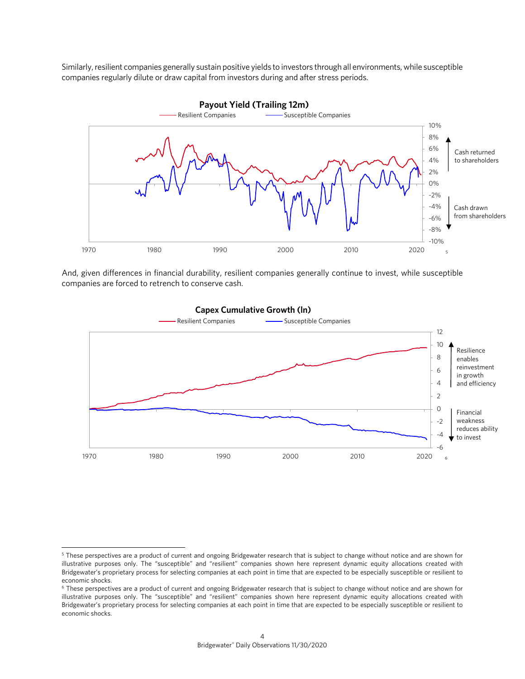Similarly, resilient companies generally sustain positive yields to investors through all environments, while susceptible companies regularly dilute or draw capital from investors during and after stress periods.



And, given differences in financial durability, resilient companies generally continue to invest, while susceptible companies are forced to retrench to conserve cash.



**Capex Cumulative Growth (ln)**

<sup>&</sup>lt;sup>5</sup> These perspectives are a product of current and ongoing Bridgewater research that is subject to change without notice and are shown for illustrative purposes only. The "susceptible" and "resilient" companies shown here represent dynamic equity allocations created with Bridgewater's proprietary process for selecting companies at each point in time that are expected to be especially susceptible or resilient to economic shocks.

<sup>6</sup> These perspectives are a product of current and ongoing Bridgewater research that is subject to change without notice and are shown for illustrative purposes only. The "susceptible" and "resilient" companies shown here represent dynamic equity allocations created with Bridgewater's proprietary process for selecting companies at each point in time that are expected to be especially susceptible or resilient to economic shocks.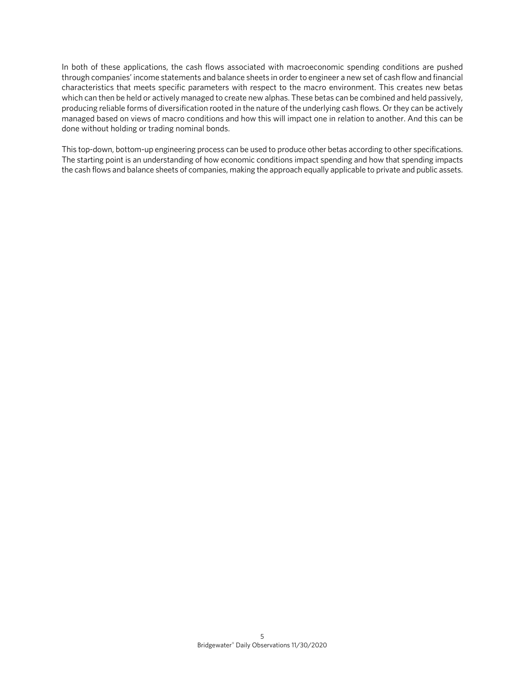In both of these applications, the cash flows associated with macroeconomic spending conditions are pushed through companies' income statements and balance sheets in order to engineer a new set of cash flow and financial characteristics that meets specific parameters with respect to the macro environment. This creates new betas which can then be held or actively managed to create new alphas. These betas can be combined and held passively, producing reliable forms of diversification rooted in the nature of the underlying cash flows. Or they can be actively managed based on views of macro conditions and how this will impact one in relation to another. And this can be done without holding or trading nominal bonds.

This top-down, bottom-up engineering process can be used to produce other betas according to other specifications. The starting point is an understanding of how economic conditions impact spending and how that spending impacts the cash flows and balance sheets of companies, making the approach equally applicable to private and public assets.